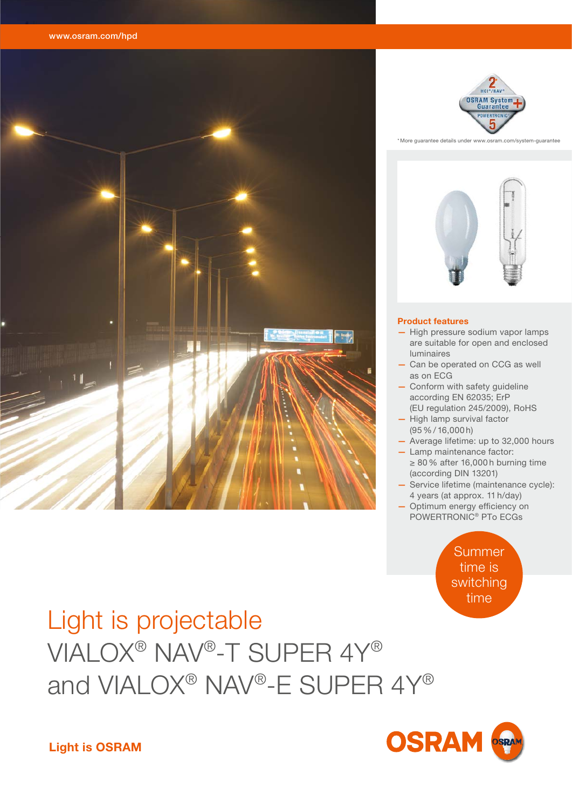

# **OSRAM**

### Light is projectable VIALOX® NAV®-T SUPER 4Y® and VIALOX® NAV®-E SUPER 4Y®

Summer time is switching time

- 
- POWERTRONIC® PTo ECGs
- 4 years (at approx. 11 h/day) Optimum energy efficiency on
- Lamp maintenance factor: ≥ 80 % after 16,000 h burning time (according DIN 13201)
- High lamp survival factor (95 % / 16,000 h) — Average lifetime: up to 32,000 hours

— Service lifetime (maintenance cycle):

as on ECG - Conform with safety guideline according EN 62035; ErP (EU regulation 245/2009), RoHS



— High pressure sodium vapor lamps are suitable for open and enclosed

— Can be operated on CCG as well

### **Product features**

luminaires